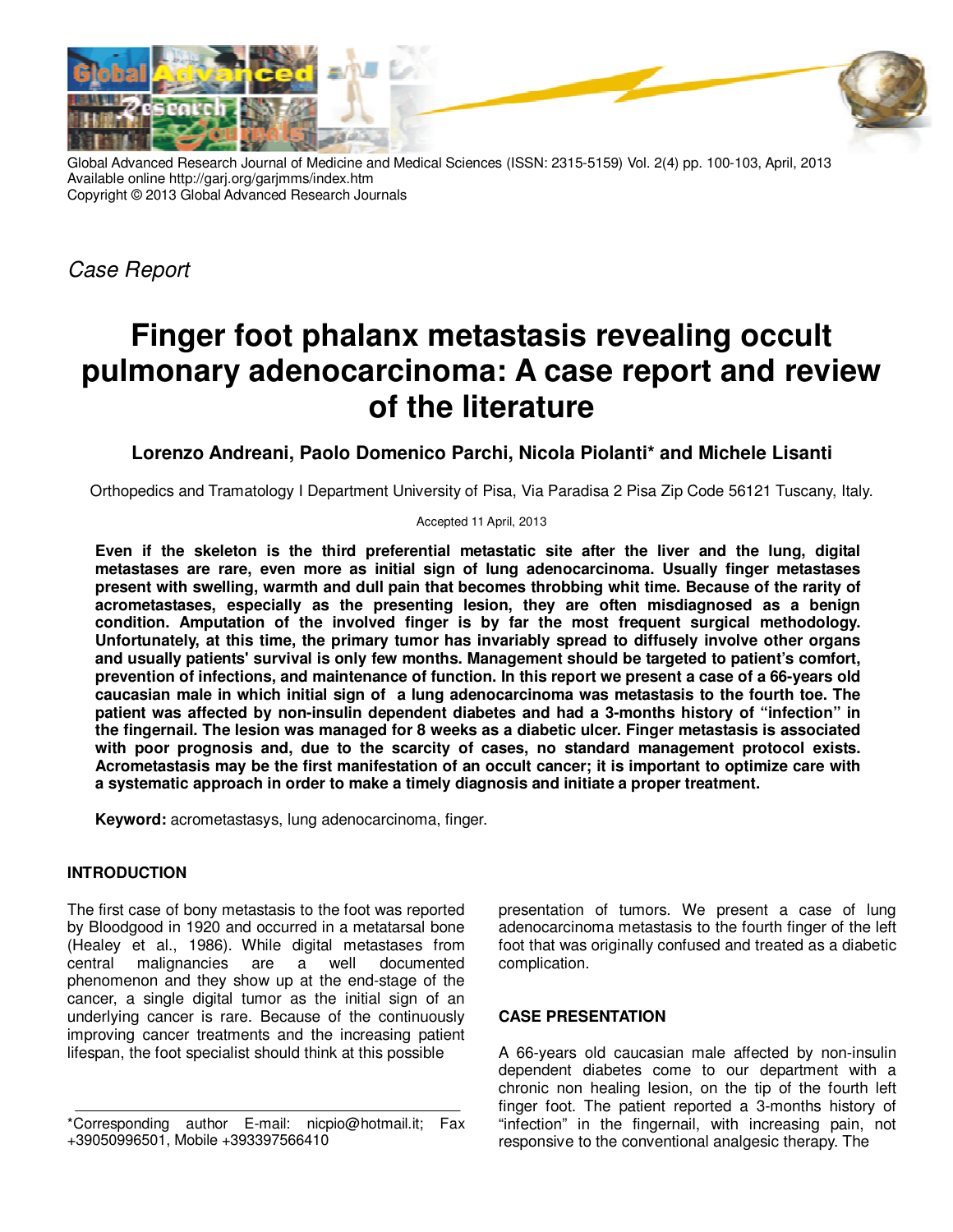

Global Advanced Research Journal of Medicine and Medical Sciences (ISSN: 2315-5159) Vol. 2(4) pp. 100-103, April, 2013 Available online http://garj.org/garjmms/index.htm Copyright © 2013 Global Advanced Research Journals

Case Report

# **Finger foot phalanx metastasis revealing occult pulmonary adenocarcinoma: A case report and review of the literature**

## **Lorenzo Andreani, Paolo Domenico Parchi, Nicola Piolanti\* and Michele Lisanti**

Orthopedics and Tramatology I Department University of Pisa, Via Paradisa 2 Pisa Zip Code 56121 Tuscany, Italy.

#### Accepted 11 April, 2013

**Even if the skeleton is the third preferential metastatic site after the liver and the lung, digital metastases are rare, even more as initial sign of lung adenocarcinoma. Usually finger metastases present with swelling, warmth and dull pain that becomes throbbing whit time. Because of the rarity of acrometastases, especially as the presenting lesion, they are often misdiagnosed as a benign condition. Amputation of the involved finger is by far the most frequent surgical methodology. Unfortunately, at this time, the primary tumor has invariably spread to diffusely involve other organs and usually patients' survival is only few months. Management should be targeted to patient's comfort, prevention of infections, and maintenance of function. In this report we present a case of a 66-years old caucasian male in which initial sign of a lung adenocarcinoma was metastasis to the fourth toe. The patient was affected by non-insulin dependent diabetes and had a 3-months history of "infection" in the fingernail. The lesion was managed for 8 weeks as a diabetic ulcer. Finger metastasis is associated with poor prognosis and, due to the scarcity of cases, no standard management protocol exists. Acrometastasis may be the first manifestation of an occult cancer; it is important to optimize care with a systematic approach in order to make a timely diagnosis and initiate a proper treatment.** 

**Keyword:** acrometastasys, lung adenocarcinoma, finger.

## **INTRODUCTION**

The first case of bony metastasis to the foot was reported by Bloodgood in 1920 and occurred in a metatarsal bone (Healey et al., 1986). While digital metastases from central malignancies are a well documented phenomenon and they show up at the end-stage of the cancer, a single digital tumor as the initial sign of an underlying cancer is rare. Because of the continuously improving cancer treatments and the increasing patient lifespan, the foot specialist should think at this possible

presentation of tumors. We present a case of lung adenocarcinoma metastasis to the fourth finger of the left foot that was originally confused and treated as a diabetic complication.

## **CASE PRESENTATION**

A 66-years old caucasian male affected by non-insulin dependent diabetes come to our department with a chronic non healing lesion, on the tip of the fourth left finger foot. The patient reported a 3-months history of "infection" in the fingernail, with increasing pain, not responsive to the conventional analgesic therapy. The

<sup>\*</sup>Corresponding author E-mail: nicpio@hotmail.it; Fax +39050996501, Mobile +393397566410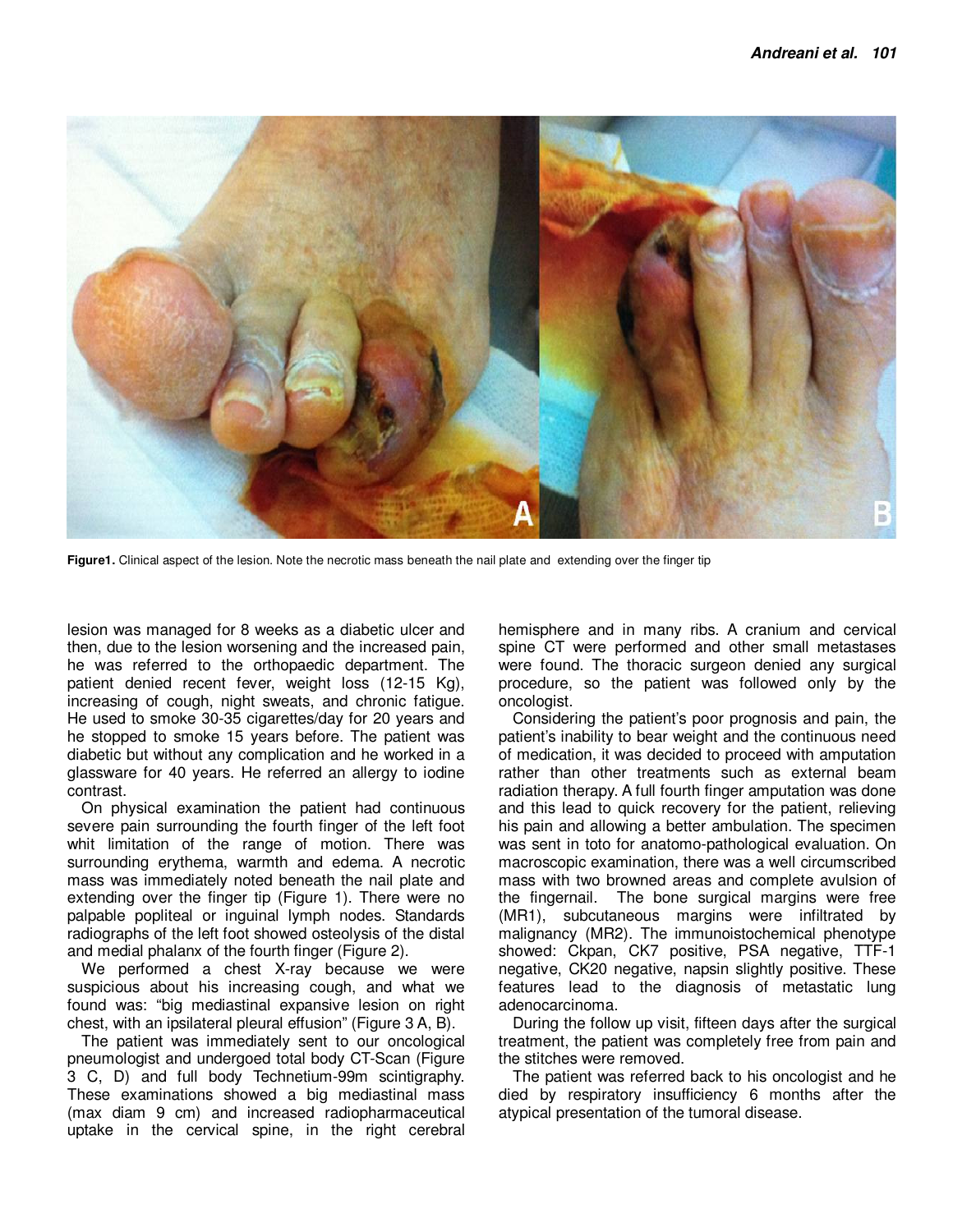

**Figure1.** Clinical aspect of the lesion. Note the necrotic mass beneath the nail plate and extending over the finger tip

lesion was managed for 8 weeks as a diabetic ulcer and then, due to the lesion worsening and the increased pain, he was referred to the orthopaedic department. The patient denied recent fever, weight loss (12-15 Kg), increasing of cough, night sweats, and chronic fatigue. He used to smoke 30-35 cigarettes/day for 20 years and he stopped to smoke 15 years before. The patient was diabetic but without any complication and he worked in a glassware for 40 years. He referred an allergy to iodine contrast.

On physical examination the patient had continuous severe pain surrounding the fourth finger of the left foot whit limitation of the range of motion. There was surrounding erythema, warmth and edema. A necrotic mass was immediately noted beneath the nail plate and extending over the finger tip (Figure 1). There were no palpable popliteal or inguinal lymph nodes. Standards radiographs of the left foot showed osteolysis of the distal and medial phalanx of the fourth finger (Figure 2).

We performed a chest X-ray because we were suspicious about his increasing cough, and what we found was: "big mediastinal expansive lesion on right chest, with an ipsilateral pleural effusion" (Figure 3 A, B).

The patient was immediately sent to our oncological pneumologist and undergoed total body CT-Scan (Figure 3 C, D) and full body Technetium-99m scintigraphy. These examinations showed a big mediastinal mass (max diam 9 cm) and increased radiopharmaceutical uptake in the cervical spine, in the right cerebral

hemisphere and in many ribs. A cranium and cervical spine CT were performed and other small metastases were found. The thoracic surgeon denied any surgical procedure, so the patient was followed only by the oncologist.

Considering the patient's poor prognosis and pain, the patient's inability to bear weight and the continuous need of medication, it was decided to proceed with amputation rather than other treatments such as external beam radiation therapy. A full fourth finger amputation was done and this lead to quick recovery for the patient, relieving his pain and allowing a better ambulation. The specimen was sent in toto for anatomo-pathological evaluation. On macroscopic examination, there was a well circumscribed mass with two browned areas and complete avulsion of the fingernail. The bone surgical margins were free (MR1), subcutaneous margins were infiltrated by malignancy (MR2). The immunoistochemical phenotype showed: Ckpan, CK7 positive, PSA negative, TTF-1 negative, CK20 negative, napsin slightly positive. These features lead to the diagnosis of metastatic lung adenocarcinoma.

During the follow up visit, fifteen days after the surgical treatment, the patient was completely free from pain and the stitches were removed.

The patient was referred back to his oncologist and he died by respiratory insufficiency 6 months after the atypical presentation of the tumoral disease.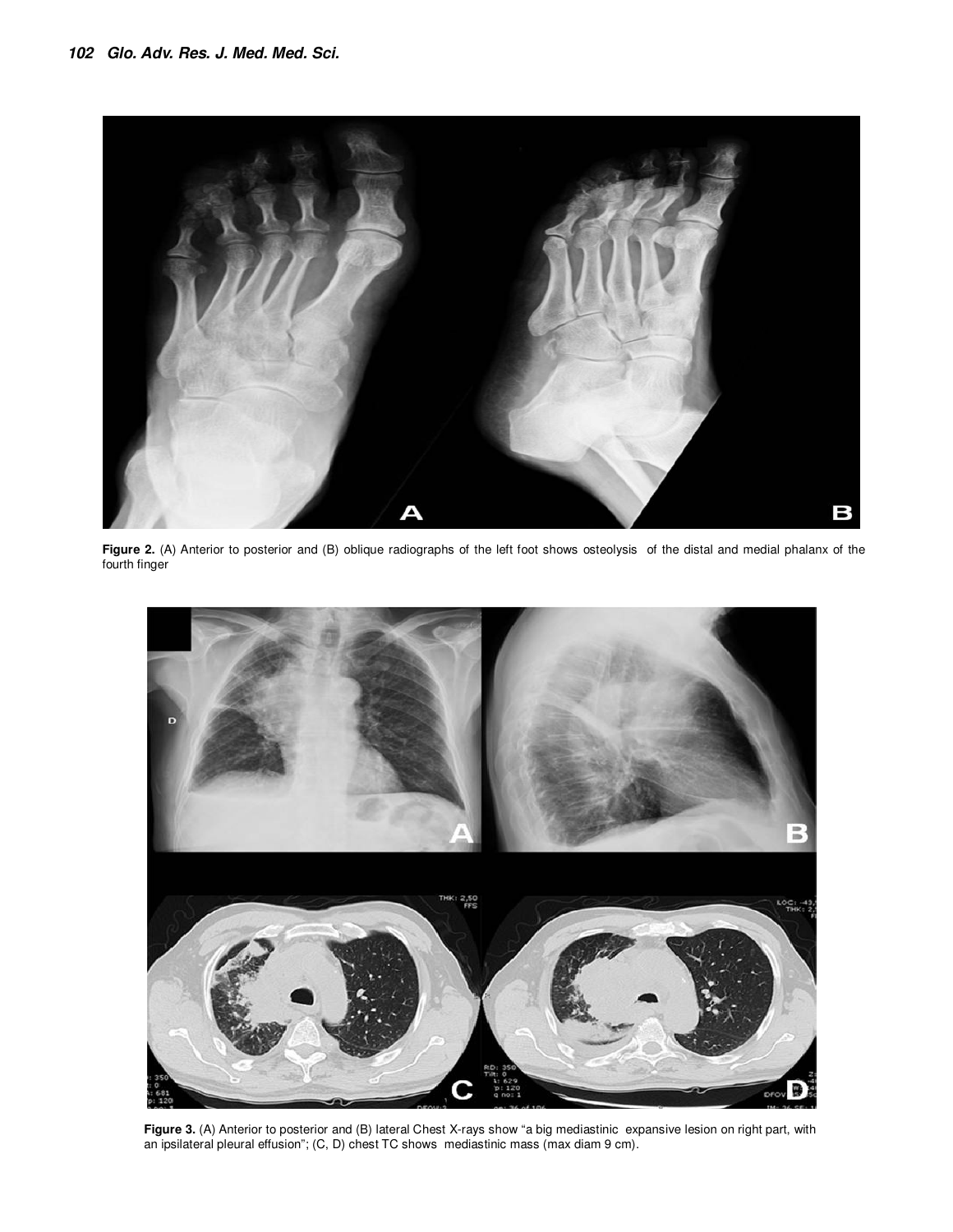

**Figure 2.** (A) Anterior to posterior and (B) oblique radiographs of the left foot shows osteolysis of the distal and medial phalanx of the fourth finger



**Figure 3.** (A) Anterior to posterior and (B) lateral Chest X-rays show "a big mediastinic expansive lesion on right part, with an ipsilateral pleural effusion"; (C, D) chest TC shows mediastinic mass (max diam 9 cm).